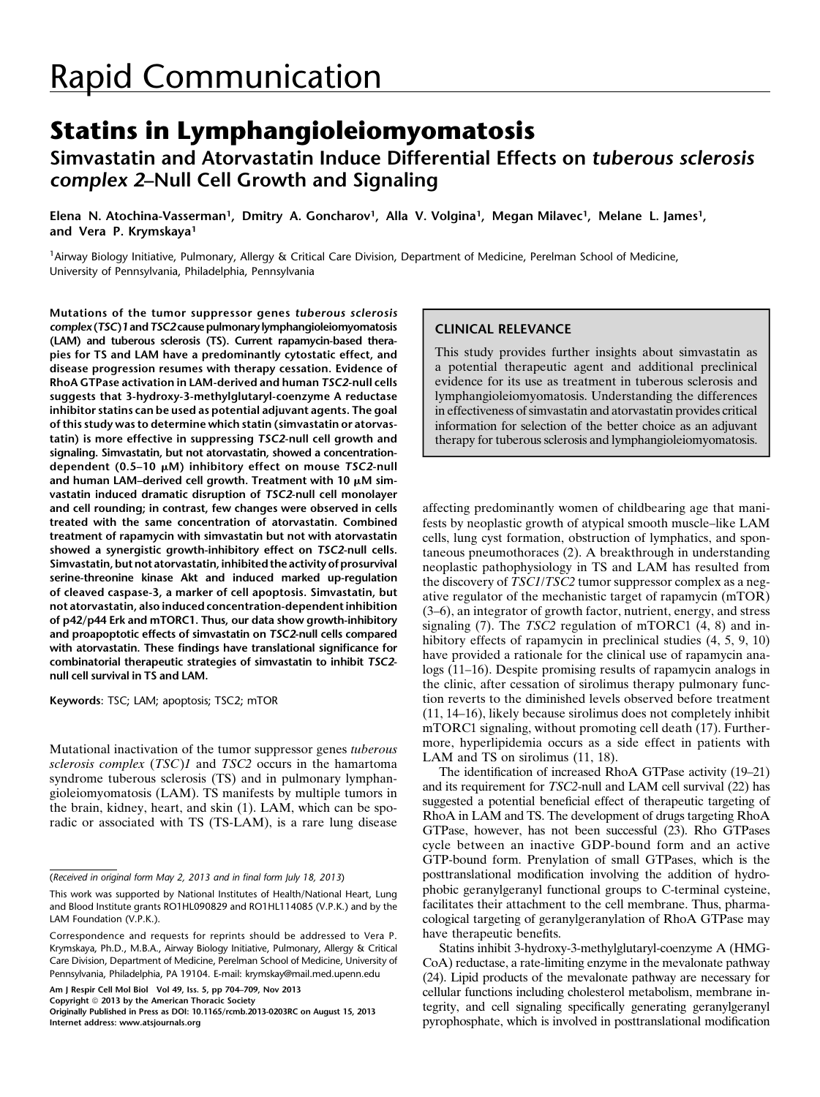# Simvastatin and Atorvastatin Induce Differential Effects on tuberous sclerosis complex 2–Null Cell Growth and Signaling

Elena N. Atochina-Vasserman<sup>1</sup>, Dmitry A. Goncharov<sup>1</sup>, Alla V. Volgina<sup>1</sup>, Megan Milavec<sup>1</sup>, Melane L. James<sup>1</sup>, and Vera P. Krymskaya<sup>1</sup>

<sup>1</sup> Airway Biology Initiative, Pulmonary, Allergy & Critical Care Division, Department of Medicine, Perelman School of Medicine, University of Pennsylvania, Philadelphia, Pennsylvania

Mutations of the tumor suppressor genes tuberous sclerosis complex (TSC)1 and TSC2 cause pulmonary lymphangioleiomyomatosis (LAM) and tuberous sclerosis (TS). Current rapamycin-based therapies for TS and LAM have a predominantly cytostatic effect, and disease progression resumes with therapy cessation. Evidence of RhoA GTPase activation in LAM-derived and human TSC2-null cells suggests that 3-hydroxy-3-methylglutaryl-coenzyme A reductase inhibitor statins can be used as potential adjuvant agents. The goal of this study was to determine which statin (simvastatin or atorvastatin) is more effective in suppressing TSC2-null cell growth and signaling. Simvastatin, but not atorvastatin, showed a concentrationdependent (0.5–10  $\mu$ M) inhibitory effect on mouse TSC2-null and human LAM-derived cell growth. Treatment with 10  $\mu$ M simvastatin induced dramatic disruption of TSC2-null cell monolayer and cell rounding; in contrast, few changes were observed in cells treated with the same concentration of atorvastatin. Combined treatment of rapamycin with simvastatin but not with atorvastatin showed a synergistic growth-inhibitory effect on TSC2-null cells. Simvastatin, but not atorvastatin, inhibited the activity of prosurvival serine-threonine kinase Akt and induced marked up-regulation of cleaved caspase-3, a marker of cell apoptosis. Simvastatin, but not atorvastatin, also induced concentration-dependent inhibition of p42/p44 Erk and mTORC1. Thus, our data show growth-inhibitory and proapoptotic effects of simvastatin on TSC2-null cells compared with atorvastatin. These findings have translational significance for combinatorial therapeutic strategies of simvastatin to inhibit TSC2 null cell survival in TS and LAM.

Keywords: TSC; LAM; apoptosis; TSC2; mTOR

Mutational inactivation of the tumor suppressor genes tuberous sclerosis complex (TSC)1 and TSC2 occurs in the hamartoma syndrome tuberous sclerosis (TS) and in pulmonary lymphangioleiomyomatosis (LAM). TS manifests by multiple tumors in the brain, kidney, heart, and skin (1). LAM, which can be sporadic or associated with TS (TS-LAM), is a rare lung disease

Am J Respir Cell Mol Biol Vol 49, Iss. 5, pp 704–709, Nov 2013

Copyright © 2013 by the American Thoracic Society

## CLINICAL RELEVANCE

This study provides further insights about simvastatin as a potential therapeutic agent and additional preclinical evidence for its use as treatment in tuberous sclerosis and lymphangioleiomyomatosis. Understanding the differences in effectiveness of simvastatin and atorvastatin provides critical information for selection of the better choice as an adjuvant therapy for tuberous sclerosis and lymphangioleiomyomatosis.

affecting predominantly women of childbearing age that manifests by neoplastic growth of atypical smooth muscle–like LAM cells, lung cyst formation, obstruction of lymphatics, and spontaneous pneumothoraces (2). A breakthrough in understanding neoplastic pathophysiology in TS and LAM has resulted from the discovery of TSC1/TSC2 tumor suppressor complex as a negative regulator of the mechanistic target of rapamycin (mTOR) (3–6), an integrator of growth factor, nutrient, energy, and stress signaling  $(7)$ . The TSC2 regulation of mTORC1  $(4, 8)$  and inhibitory effects of rapamycin in preclinical studies  $(4, 5, 9, 10)$ have provided a rationale for the clinical use of rapamycin analogs (11–16). Despite promising results of rapamycin analogs in the clinic, after cessation of sirolimus therapy pulmonary function reverts to the diminished levels observed before treatment (11, 14–16), likely because sirolimus does not completely inhibit mTORC1 signaling, without promoting cell death (17). Furthermore, hyperlipidemia occurs as a side effect in patients with LAM and TS on sirolimus (11, 18).

The identification of increased RhoA GTPase activity (19–21) and its requirement for TSC2-null and LAM cell survival (22) has suggested a potential beneficial effect of therapeutic targeting of RhoA in LAM and TS. The development of drugs targeting RhoA GTPase, however, has not been successful (23). Rho GTPases cycle between an inactive GDP-bound form and an active GTP-bound form. Prenylation of small GTPases, which is the posttranslational modification involving the addition of hydrophobic geranylgeranyl functional groups to C-terminal cysteine, facilitates their attachment to the cell membrane. Thus, pharmacological targeting of geranylgeranylation of RhoA GTPase may have therapeutic benefits.

Statins inhibit 3-hydroxy-3-methylglutaryl-coenzyme A (HMG-CoA) reductase, a rate-limiting enzyme in the mevalonate pathway (24). Lipid products of the mevalonate pathway are necessary for cellular functions including cholesterol metabolism, membrane integrity, and cell signaling specifically generating geranylgeranyl pyrophosphate, which is involved in posttranslational modification

<sup>(</sup>Received in original form May 2, 2013 and in final form July 18, 2013)

This work was supported by National Institutes of Health/National Heart, Lung and Blood Institute grants RO1HL090829 and RO1HL114085 (V.P.K.) and by the LAM Foundation (V.P.K.).

Correspondence and requests for reprints should be addressed to Vera P. Krymskaya, Ph.D., M.B.A., Airway Biology Initiative, Pulmonary, Allergy & Critical Care Division, Department of Medicine, Perelman School of Medicine, University of Pennsylvania, Philadelphia, PA 19104. E-mail: [krymskay@mail.med.upenn.edu](mailto:krymskay@mail.med.upenn.edu)

Originally Published in Press as DOI: [10.1165/rcmb.2013-0203RC](http://dx.doi.org/10.1165/rcmb.2013-0203RC) on August 15, 2013 Internet address: www.atsjournals.org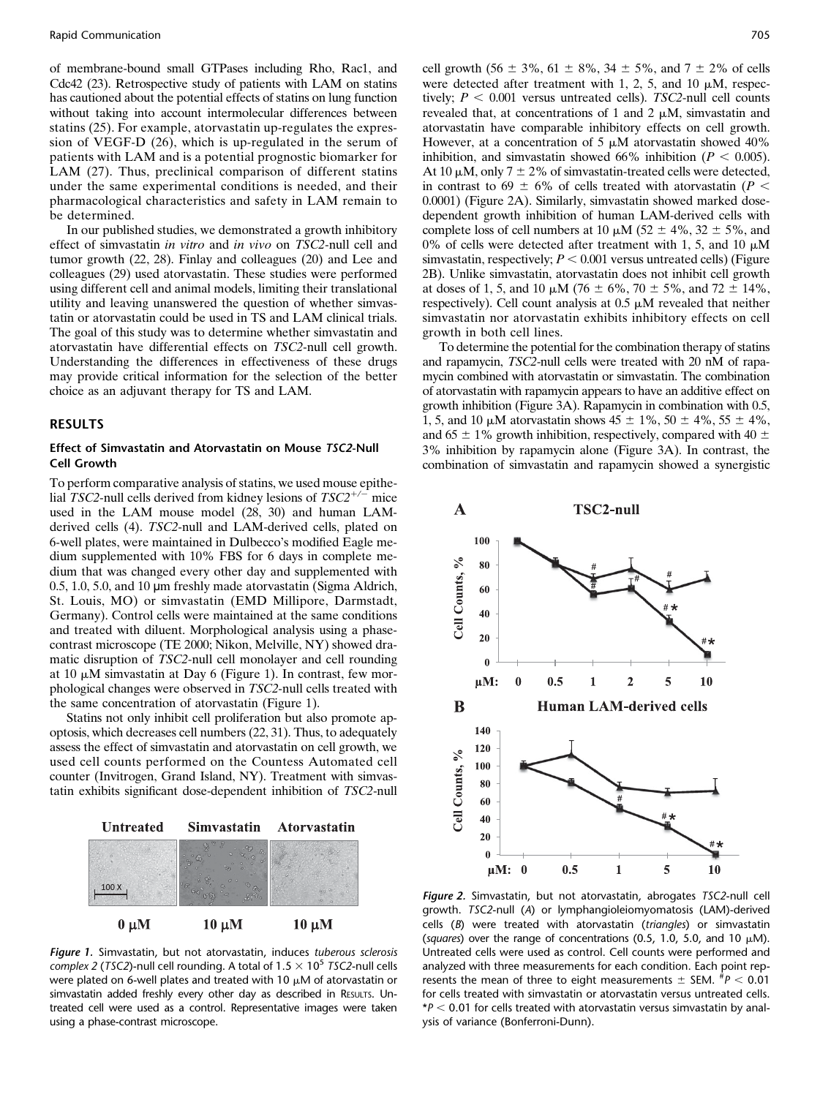of membrane-bound small GTPases including Rho, Rac1, and Cdc42 (23). Retrospective study of patients with LAM on statins has cautioned about the potential effects of statins on lung function without taking into account intermolecular differences between statins (25). For example, atorvastatin up-regulates the expression of VEGF-D (26), which is up-regulated in the serum of patients with LAM and is a potential prognostic biomarker for LAM (27). Thus, preclinical comparison of different statins under the same experimental conditions is needed, and their pharmacological characteristics and safety in LAM remain to be determined.

In our published studies, we demonstrated a growth inhibitory effect of simvastatin in vitro and in vivo on TSC2-null cell and tumor growth (22, 28). Finlay and colleagues (20) and Lee and colleagues (29) used atorvastatin. These studies were performed using different cell and animal models, limiting their translational utility and leaving unanswered the question of whether simvastatin or atorvastatin could be used in TS and LAM clinical trials. The goal of this study was to determine whether simvastatin and atorvastatin have differential effects on TSC2-null cell growth. Understanding the differences in effectiveness of these drugs may provide critical information for the selection of the better choice as an adjuvant therapy for TS and LAM.

#### RESULTS

#### Effect of Simvastatin and Atorvastatin on Mouse TSC2-Null Cell Growth

To perform comparative analysis of statins, we used mouse epithelial TSC2-null cells derived from kidney lesions of  $TSC2^{+/-}$  mice used in the LAM mouse model (28, 30) and human LAMderived cells (4). TSC2-null and LAM-derived cells, plated on 6-well plates, were maintained in Dulbecco's modified Eagle medium supplemented with 10% FBS for 6 days in complete medium that was changed every other day and supplemented with 0.5, 1.0, 5.0, and 10 µm freshly made atorvastatin (Sigma Aldrich, St. Louis, MO) or simvastatin (EMD Millipore, Darmstadt, Germany). Control cells were maintained at the same conditions and treated with diluent. Morphological analysis using a phasecontrast microscope (TE 2000; Nikon, Melville, NY) showed dramatic disruption of TSC2-null cell monolayer and cell rounding at 10  $\mu$ M simvastatin at Day 6 (Figure 1). In contrast, few morphological changes were observed in TSC2-null cells treated with the same concentration of atorvastatin (Figure 1).

Statins not only inhibit cell proliferation but also promote apoptosis, which decreases cell numbers (22, 31). Thus, to adequately assess the effect of simvastatin and atorvastatin on cell growth, we used cell counts performed on the Countess Automated cell counter (Invitrogen, Grand Island, NY). Treatment with simvastatin exhibits significant dose-dependent inhibition of TSC2-null



Figure 1. Simvastatin, but not atorvastatin, induces tuberous sclerosis complex 2 (TSC2)-null cell rounding. A total of  $1.5 \times 10^5$  TSC2-null cells were plated on 6-well plates and treated with 10  $\mu$ M of atorvastatin or simvastatin added freshly every other day as described in RESULTS. Untreated cell were used as a control. Representative images were taken using a phase-contrast microscope.

cell growth (56  $\pm$  3%, 61  $\pm$  8%, 34  $\pm$  5%, and 7  $\pm$  2% of cells were detected after treatment with 1, 2, 5, and 10  $\mu$ M, respectively;  $P < 0.001$  versus untreated cells). TSC2-null cell counts revealed that, at concentrations of 1 and 2  $\mu$ M, simvastatin and atorvastatin have comparable inhibitory effects on cell growth. However, at a concentration of 5  $\mu$ M atorvastatin showed 40% inhibition, and simvastatin showed 66% inhibition ( $P < 0.005$ ). At 10  $\mu$ M, only 7  $\pm$  2% of simvastatin-treated cells were detected, in contrast to 69  $\pm$  6% of cells treated with atorvastatin (P < 0.0001) (Figure 2A). Similarly, simvastatin showed marked dosedependent growth inhibition of human LAM-derived cells with complete loss of cell numbers at 10  $\mu$ M (52  $\pm$  4%, 32  $\pm$  5%, and 0% of cells were detected after treatment with 1, 5, and 10  $\mu$ M simvastatin, respectively;  $P < 0.001$  versus untreated cells) (Figure 2B). Unlike simvastatin, atorvastatin does not inhibit cell growth at doses of 1, 5, and 10  $\mu$ M (76  $\pm$  6%, 70  $\pm$  5%, and 72  $\pm$  14%, respectively). Cell count analysis at  $0.5 \mu M$  revealed that neither simvastatin nor atorvastatin exhibits inhibitory effects on cell growth in both cell lines.

To determine the potential for the combination therapy of statins and rapamycin, TSC2-null cells were treated with 20 nM of rapamycin combined with atorvastatin or simvastatin. The combination of atorvastatin with rapamycin appears to have an additive effect on growth inhibition (Figure 3A). Rapamycin in combination with 0.5, 1, 5, and 10  $\mu$ M atorvastatin shows  $45 \pm 1\%$ ,  $50 \pm 4\%$ ,  $55 \pm 4\%$ , and 65  $\pm$  1% growth inhibition, respectively, compared with 40  $\pm$ 3% inhibition by rapamycin alone (Figure 3A). In contrast, the combination of simvastatin and rapamycin showed a synergistic



Figure 2. Simvastatin, but not atorvastatin, abrogates TSC2-null cell growth. TSC2-null (A) or lymphangioleiomyomatosis (LAM)-derived cells (B) were treated with atorvastatin (triangles) or simvastatin (squares) over the range of concentrations (0.5, 1.0, 5.0, and 10  $\mu$ M). Untreated cells were used as control. Cell counts were performed and analyzed with three measurements for each condition. Each point represents the mean of three to eight measurements  $\pm$  SEM.  $^{#}P < 0.01$ for cells treated with simvastatin or atorvastatin versus untreated cells.  $*P < 0.01$  for cells treated with atorvastatin versus simvastatin by analysis of variance (Bonferroni-Dunn).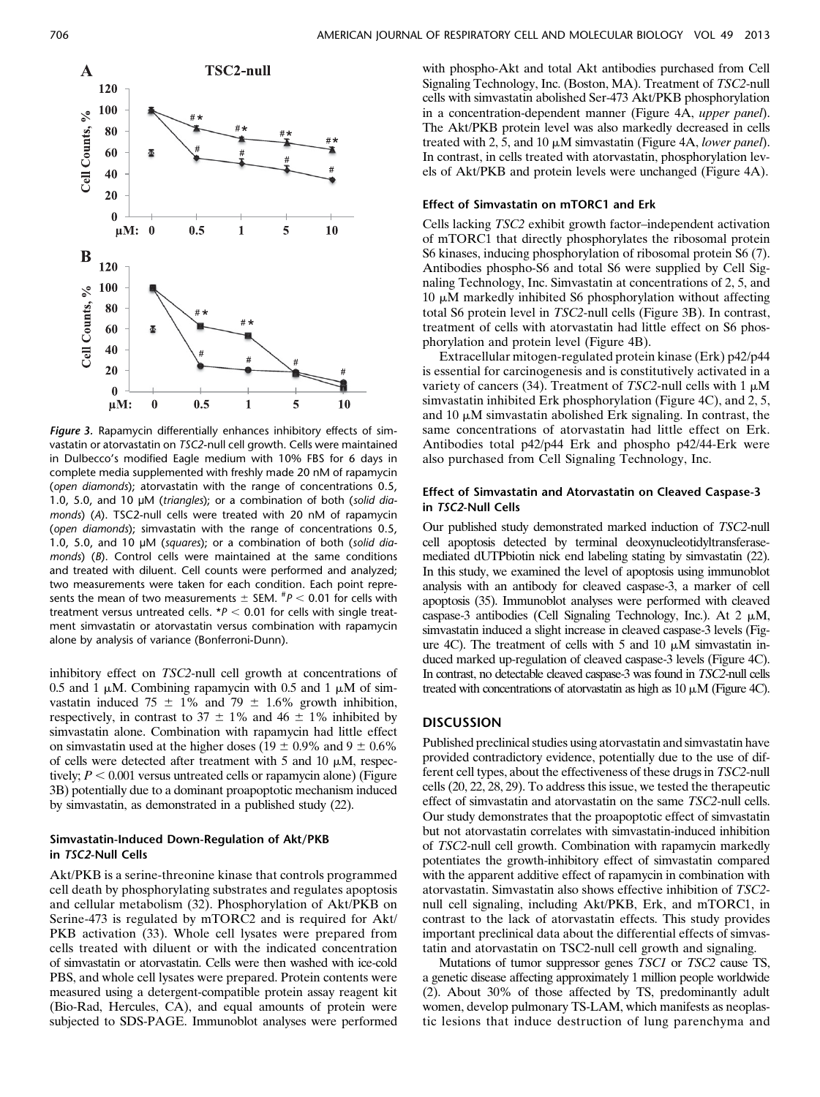

Figure 3. Rapamycin differentially enhances inhibitory effects of simvastatin or atorvastatin on TSC2-null cell growth. Cells were maintained in Dulbecco's modified Eagle medium with 10% FBS for 6 days in complete media supplemented with freshly made 20 nM of rapamycin (open diamonds); atorvastatin with the range of concentrations 0.5, 1.0, 5.0, and 10 µM (triangles); or a combination of both (solid diamonds) (A). TSC2-null cells were treated with 20 nM of rapamycin (open diamonds); simvastatin with the range of concentrations 0.5, 1.0, 5.0, and 10 µM (squares); or a combination of both (solid diamonds) (B). Control cells were maintained at the same conditions and treated with diluent. Cell counts were performed and analyzed; two measurements were taken for each condition. Each point represents the mean of two measurements  $\pm$  SEM.  $^{\#}P$  < 0.01 for cells with treatment versus untreated cells.  $*P < 0.01$  for cells with single treatment simvastatin or atorvastatin versus combination with rapamycin alone by analysis of variance (Bonferroni-Dunn).

inhibitory effect on TSC2-null cell growth at concentrations of 0.5 and 1  $\mu$ M. Combining rapamycin with 0.5 and 1  $\mu$ M of simvastatin induced 75  $\pm$  1% and 79  $\pm$  1.6% growth inhibition, respectively, in contrast to 37  $\pm$  1% and 46  $\pm$  1% inhibited by simvastatin alone. Combination with rapamycin had little effect on simvastatin used at the higher doses (19  $\pm$  0.9% and 9  $\pm$  0.6% of cells were detected after treatment with 5 and 10  $\mu$ M, respectively;  $P < 0.001$  versus untreated cells or rapamycin alone) (Figure 3B) potentially due to a dominant proapoptotic mechanism induced by simvastatin, as demonstrated in a published study (22).

#### Simvastatin-Induced Down-Regulation of Akt/PKB in TSC2-Null Cells

Akt/PKB is a serine-threonine kinase that controls programmed cell death by phosphorylating substrates and regulates apoptosis and cellular metabolism (32). Phosphorylation of Akt/PKB on Serine-473 is regulated by mTORC2 and is required for Akt/ PKB activation (33). Whole cell lysates were prepared from cells treated with diluent or with the indicated concentration of simvastatin or atorvastatin. Cells were then washed with ice-cold PBS, and whole cell lysates were prepared. Protein contents were measured using a detergent-compatible protein assay reagent kit (Bio-Rad, Hercules, CA), and equal amounts of protein were subjected to SDS-PAGE. Immunoblot analyses were performed

with phospho-Akt and total Akt antibodies purchased from Cell Signaling Technology, Inc. (Boston, MA). Treatment of TSC2-null cells with simvastatin abolished Ser-473 Akt/PKB phosphorylation in a concentration-dependent manner (Figure 4A, upper panel). The Akt/PKB protein level was also markedly decreased in cells treated with 2, 5, and 10  $\mu$ M simvastatin (Figure 4A, *lower panel*). In contrast, in cells treated with atorvastatin, phosphorylation levels of Akt/PKB and protein levels were unchanged (Figure 4A).

#### Effect of Simvastatin on mTORC1 and Erk

Cells lacking TSC2 exhibit growth factor–independent activation of mTORC1 that directly phosphorylates the ribosomal protein S6 kinases, inducing phosphorylation of ribosomal protein S6 (7). Antibodies phospho-S6 and total S6 were supplied by Cell Signaling Technology, Inc. Simvastatin at concentrations of 2, 5, and  $10 \mu$ M markedly inhibited S6 phosphorylation without affecting total S6 protein level in TSC2-null cells (Figure 3B). In contrast, treatment of cells with atorvastatin had little effect on S6 phosphorylation and protein level (Figure 4B).

Extracellular mitogen-regulated protein kinase (Erk) p42/p44 is essential for carcinogenesis and is constitutively activated in a variety of cancers (34). Treatment of TSC2-null cells with  $1 \mu$ M simvastatin inhibited Erk phosphorylation (Figure 4C), and 2, 5, and 10  $\mu$ M simvastatin abolished Erk signaling. In contrast, the same concentrations of atorvastatin had little effect on Erk. Antibodies total p42/p44 Erk and phospho p42/44-Erk were also purchased from Cell Signaling Technology, Inc.

#### Effect of Simvastatin and Atorvastatin on Cleaved Caspase-3 in TSC2-Null Cells

Our published study demonstrated marked induction of TSC2-null cell apoptosis detected by terminal deoxynucleotidyltransferasemediated dUTPbiotin nick end labeling stating by simvastatin (22). In this study, we examined the level of apoptosis using immunoblot analysis with an antibody for cleaved caspase-3, a marker of cell apoptosis (35). Immunoblot analyses were performed with cleaved caspase-3 antibodies (Cell Signaling Technology, Inc.). At 2  $\mu$ M, simvastatin induced a slight increase in cleaved caspase-3 levels (Figure 4C). The treatment of cells with 5 and 10  $\mu$ M simvastatin induced marked up-regulation of cleaved caspase-3 levels (Figure 4C). In contrast, no detectable cleaved caspase-3 was found in TSC2-null cells treated with concentrations of atorvastatin as high as  $10 \mu$ M (Figure 4C).

### **DISCUSSION**

Published preclinical studies using atorvastatin and simvastatin have provided contradictory evidence, potentially due to the use of different cell types, about the effectiveness of these drugs in TSC2-null cells (20, 22, 28, 29). To address this issue, we tested the therapeutic effect of simvastatin and atorvastatin on the same TSC2-null cells. Our study demonstrates that the proapoptotic effect of simvastatin but not atorvastatin correlates with simvastatin-induced inhibition of TSC2-null cell growth. Combination with rapamycin markedly potentiates the growth-inhibitory effect of simvastatin compared with the apparent additive effect of rapamycin in combination with atorvastatin. Simvastatin also shows effective inhibition of TSC2 null cell signaling, including Akt/PKB, Erk, and mTORC1, in contrast to the lack of atorvastatin effects. This study provides important preclinical data about the differential effects of simvastatin and atorvastatin on TSC2-null cell growth and signaling.

Mutations of tumor suppressor genes TSC1 or TSC2 cause TS, a genetic disease affecting approximately 1 million people worldwide (2). About 30% of those affected by TS, predominantly adult women, develop pulmonary TS-LAM, which manifests as neoplastic lesions that induce destruction of lung parenchyma and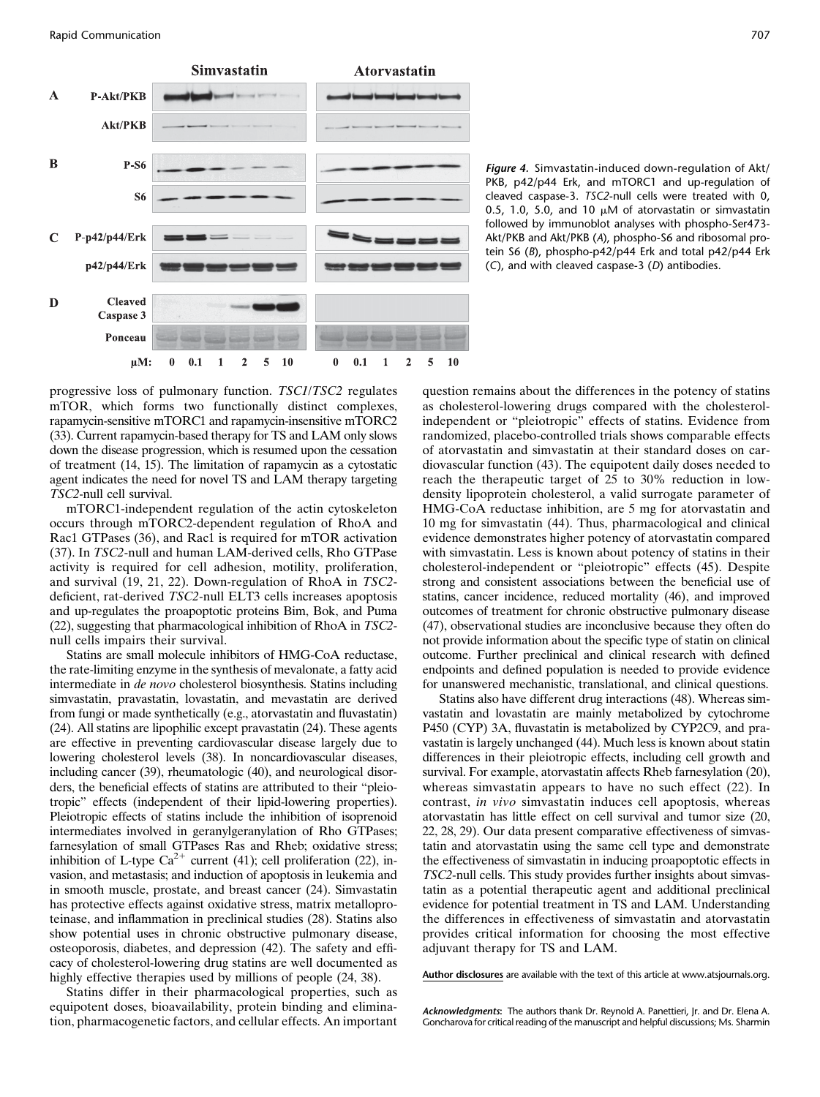

Figure 4. Simvastatin-induced down-regulation of Akt/ PKB, p42/p44 Erk, and mTORC1 and up-regulation of cleaved caspase-3. TSC2-null cells were treated with 0, 0.5, 1.0, 5.0, and 10  $\mu$ M of atorvastatin or simvastatin followed by immunoblot analyses with phospho-Ser473- Akt/PKB and Akt/PKB (A), phospho-S6 and ribosomal protein S6 (B), phospho-p42/p44 Erk and total p42/p44 Erk (C), and with cleaved caspase-3 (D) antibodies.

progressive loss of pulmonary function. TSC1/TSC2 regulates mTOR, which forms two functionally distinct complexes, rapamycin-sensitive mTORC1 and rapamycin-insensitive mTORC2 (33). Current rapamycin-based therapy for TS and LAM only slows down the disease progression, which is resumed upon the cessation of treatment (14, 15). The limitation of rapamycin as a cytostatic agent indicates the need for novel TS and LAM therapy targeting TSC2-null cell survival.

mTORC1-independent regulation of the actin cytoskeleton occurs through mTORC2-dependent regulation of RhoA and Rac1 GTPases (36), and Rac1 is required for mTOR activation (37). In TSC2-null and human LAM-derived cells, Rho GTPase activity is required for cell adhesion, motility, proliferation, and survival (19, 21, 22). Down-regulation of RhoA in TSC2 deficient, rat-derived TSC2-null ELT3 cells increases apoptosis and up-regulates the proapoptotic proteins Bim, Bok, and Puma (22), suggesting that pharmacological inhibition of RhoA in TSC2 null cells impairs their survival.

Statins are small molecule inhibitors of HMG-CoA reductase, the rate-limiting enzyme in the synthesis of mevalonate, a fatty acid intermediate in de novo cholesterol biosynthesis. Statins including simvastatin, pravastatin, lovastatin, and mevastatin are derived from fungi or made synthetically (e.g., atorvastatin and fluvastatin) (24). All statins are lipophilic except pravastatin (24). These agents are effective in preventing cardiovascular disease largely due to lowering cholesterol levels (38). In noncardiovascular diseases, including cancer (39), rheumatologic (40), and neurological disorders, the beneficial effects of statins are attributed to their "pleiotropic" effects (independent of their lipid-lowering properties). Pleiotropic effects of statins include the inhibition of isoprenoid intermediates involved in geranylgeranylation of Rho GTPases; farnesylation of small GTPases Ras and Rheb; oxidative stress; inhibition of L-type  $Ca^{2+}$  current (41); cell proliferation (22), invasion, and metastasis; and induction of apoptosis in leukemia and in smooth muscle, prostate, and breast cancer (24). Simvastatin has protective effects against oxidative stress, matrix metalloproteinase, and inflammation in preclinical studies (28). Statins also show potential uses in chronic obstructive pulmonary disease, osteoporosis, diabetes, and depression (42). The safety and efficacy of cholesterol-lowering drug statins are well documented as highly effective therapies used by millions of people (24, 38).

Statins differ in their pharmacological properties, such as equipotent doses, bioavailability, protein binding and elimination, pharmacogenetic factors, and cellular effects. An important question remains about the differences in the potency of statins as cholesterol-lowering drugs compared with the cholesterolindependent or "pleiotropic" effects of statins. Evidence from randomized, placebo-controlled trials shows comparable effects of atorvastatin and simvastatin at their standard doses on cardiovascular function (43). The equipotent daily doses needed to reach the therapeutic target of 25 to 30% reduction in lowdensity lipoprotein cholesterol, a valid surrogate parameter of HMG-CoA reductase inhibition, are 5 mg for atorvastatin and 10 mg for simvastatin (44). Thus, pharmacological and clinical evidence demonstrates higher potency of atorvastatin compared with simvastatin. Less is known about potency of statins in their cholesterol-independent or "pleiotropic" effects (45). Despite strong and consistent associations between the beneficial use of statins, cancer incidence, reduced mortality (46), and improved outcomes of treatment for chronic obstructive pulmonary disease (47), observational studies are inconclusive because they often do not provide information about the specific type of statin on clinical outcome. Further preclinical and clinical research with defined endpoints and defined population is needed to provide evidence for unanswered mechanistic, translational, and clinical questions.

Statins also have different drug interactions (48). Whereas simvastatin and lovastatin are mainly metabolized by cytochrome P450 (CYP) 3A, fluvastatin is metabolized by CYP2C9, and pravastatin is largely unchanged (44). Much less is known about statin differences in their pleiotropic effects, including cell growth and survival. For example, atorvastatin affects Rheb farnesylation (20), whereas simvastatin appears to have no such effect (22). In contrast, in vivo simvastatin induces cell apoptosis, whereas atorvastatin has little effect on cell survival and tumor size (20, 22, 28, 29). Our data present comparative effectiveness of simvastatin and atorvastatin using the same cell type and demonstrate the effectiveness of simvastatin in inducing proapoptotic effects in TSC2-null cells. This study provides further insights about simvastatin as a potential therapeutic agent and additional preclinical evidence for potential treatment in TS and LAM. Understanding the differences in effectiveness of simvastatin and atorvastatin provides critical information for choosing the most effective adjuvant therapy for TS and LAM.

[Author disclosures](http://www.atsjournals.org/doi/suppl/10.1165/rcmb.2013-0203RC/suppl_file/disclosures.pdf) are available with the text of this article at [www.atsjournals.org](http://www.atsjournals.org).

Acknowledgments: The authors thank Dr. Reynold A. Panettieri, Jr. and Dr. Elena A. Goncharova for critical reading of the manuscript and helpful discussions; Ms. Sharmin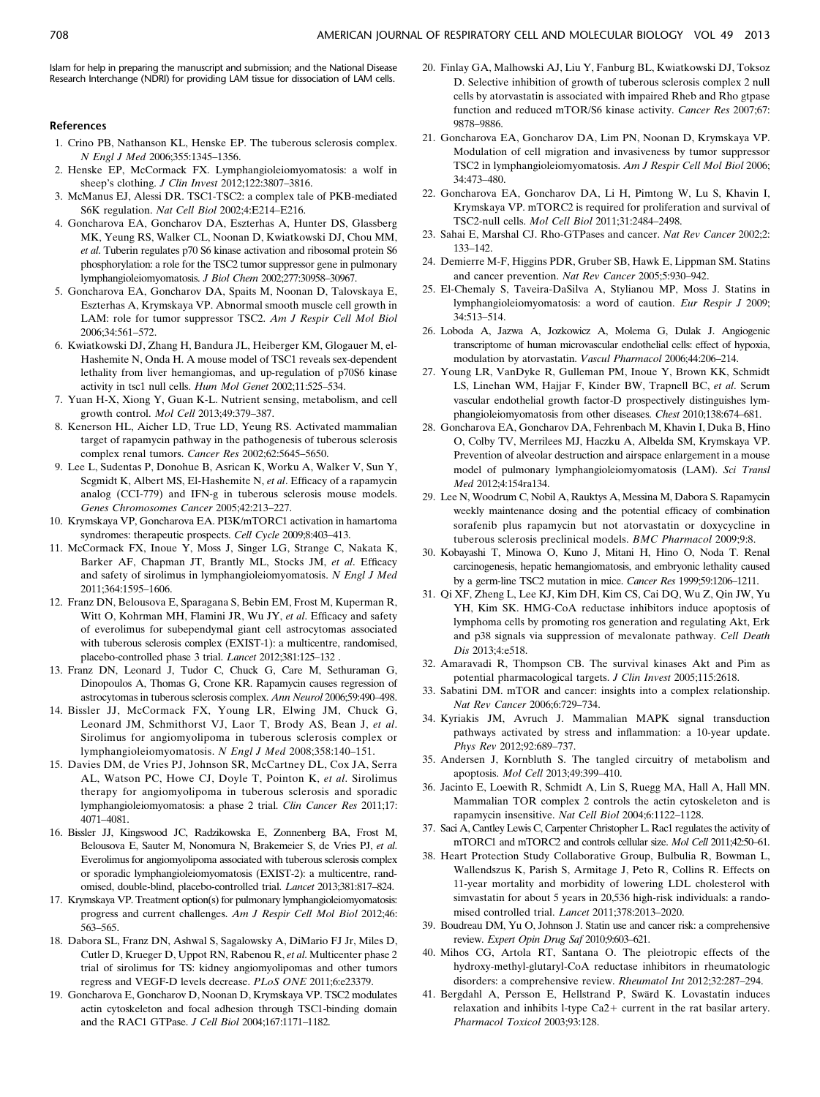#### References

- 1. Crino PB, Nathanson KL, Henske EP. The tuberous sclerosis complex. N Engl J Med 2006;355:1345–1356.
- 2. Henske EP, McCormack FX. Lymphangioleiomyomatosis: a wolf in sheep's clothing. J Clin Invest 2012;122:3807–3816.
- 3. McManus EJ, Alessi DR. TSC1-TSC2: a complex tale of PKB-mediated S6K regulation. Nat Cell Biol 2002;4:E214–E216.
- 4. Goncharova EA, Goncharov DA, Eszterhas A, Hunter DS, Glassberg MK, Yeung RS, Walker CL, Noonan D, Kwiatkowski DJ, Chou MM, et al. Tuberin regulates p70 S6 kinase activation and ribosomal protein S6 phosphorylation: a role for the TSC2 tumor suppressor gene in pulmonary lymphangioleiomyomatosis. J Biol Chem 2002;277:30958–30967.
- 5. Goncharova EA, Goncharov DA, Spaits M, Noonan D, Talovskaya E, Eszterhas A, Krymskaya VP. Abnormal smooth muscle cell growth in LAM: role for tumor suppressor TSC2. Am J Respir Cell Mol Biol 2006;34:561–572.
- 6. Kwiatkowski DJ, Zhang H, Bandura JL, Heiberger KM, Glogauer M, el-Hashemite N, Onda H. A mouse model of TSC1 reveals sex-dependent lethality from liver hemangiomas, and up-regulation of p70S6 kinase activity in tsc1 null cells. Hum Mol Genet 2002;11:525–534.
- 7. Yuan H-X, Xiong Y, Guan K-L. Nutrient sensing, metabolism, and cell growth control. Mol Cell 2013;49:379–387.
- 8. Kenerson HL, Aicher LD, True LD, Yeung RS. Activated mammalian target of rapamycin pathway in the pathogenesis of tuberous sclerosis complex renal tumors. Cancer Res 2002;62:5645–5650.
- 9. Lee L, Sudentas P, Donohue B, Asrican K, Worku A, Walker V, Sun Y, Scgmidt K, Albert MS, El-Hashemite N, et al. Efficacy of a rapamycin analog (CCI-779) and IFN-g in tuberous sclerosis mouse models. Genes Chromosomes Cancer 2005;42:213–227.
- 10. Krymskaya VP, Goncharova EA. PI3K/mTORC1 activation in hamartoma syndromes: therapeutic prospects. Cell Cycle 2009;8:403–413.
- 11. McCormack FX, Inoue Y, Moss J, Singer LG, Strange C, Nakata K, Barker AF, Chapman JT, Brantly ML, Stocks JM, et al. Efficacy and safety of sirolimus in lymphangioleiomyomatosis. N Engl J Med 2011;364:1595–1606.
- 12. Franz DN, Belousova E, Sparagana S, Bebin EM, Frost M, Kuperman R, Witt O, Kohrman MH, Flamini JR, Wu JY, et al. Efficacy and safety of everolimus for subependymal giant cell astrocytomas associated with tuberous sclerosis complex (EXIST-1): a multicentre, randomised, placebo-controlled phase 3 trial. Lancet 2012;381:125–132 .
- 13. Franz DN, Leonard J, Tudor C, Chuck G, Care M, Sethuraman G, Dinopoulos A, Thomas G, Crone KR. Rapamycin causes regression of astrocytomas in tuberous sclerosis complex. Ann Neurol 2006;59:490–498.
- 14. Bissler JJ, McCormack FX, Young LR, Elwing JM, Chuck G, Leonard JM, Schmithorst VJ, Laor T, Brody AS, Bean J, et al. Sirolimus for angiomyolipoma in tuberous sclerosis complex or lymphangioleiomyomatosis. N Engl J Med 2008;358:140–151.
- 15. Davies DM, de Vries PJ, Johnson SR, McCartney DL, Cox JA, Serra AL, Watson PC, Howe CJ, Doyle T, Pointon K, et al. Sirolimus therapy for angiomyolipoma in tuberous sclerosis and sporadic lymphangioleiomyomatosis: a phase 2 trial. Clin Cancer Res 2011;17: 4071–4081.
- 16. Bissler JJ, Kingswood JC, Radzikowska E, Zonnenberg BA, Frost M, Belousova E, Sauter M, Nonomura N, Brakemeier S, de Vries PJ, et al. Everolimus for angiomyolipoma associated with tuberous sclerosis complex or sporadic lymphangioleiomyomatosis (EXIST-2): a multicentre, randomised, double-blind, placebo-controlled trial. Lancet 2013;381:817–824.
- 17. Krymskaya VP. Treatment option(s) for pulmonary lymphangioleiomyomatosis: progress and current challenges. Am J Respir Cell Mol Biol 2012;46: 563–565.
- 18. Dabora SL, Franz DN, Ashwal S, Sagalowsky A, DiMario FJ Jr, Miles D, Cutler D, Krueger D, Uppot RN, Rabenou R, et al. Multicenter phase 2 trial of sirolimus for TS: kidney angiomyolipomas and other tumors regress and VEGF-D levels decrease. PLoS ONE 2011;6:e23379.
- 19. Goncharova E, Goncharov D, Noonan D, Krymskaya VP. TSC2 modulates actin cytoskeleton and focal adhesion through TSC1-binding domain and the RAC1 GTPase. J Cell Biol 2004;167:1171–1182.
- 20. Finlay GA, Malhowski AJ, Liu Y, Fanburg BL, Kwiatkowski DJ, Toksoz D. Selective inhibition of growth of tuberous sclerosis complex 2 null cells by atorvastatin is associated with impaired Rheb and Rho gtpase function and reduced mTOR/S6 kinase activity. Cancer Res 2007;67: 9878–9886.
- 21. Goncharova EA, Goncharov DA, Lim PN, Noonan D, Krymskaya VP. Modulation of cell migration and invasiveness by tumor suppressor TSC2 in lymphangioleiomyomatosis. Am J Respir Cell Mol Biol 2006; 34:473–480.
- 22. Goncharova EA, Goncharov DA, Li H, Pimtong W, Lu S, Khavin I, Krymskaya VP. mTORC2 is required for proliferation and survival of TSC2-null cells. Mol Cell Biol 2011;31:2484–2498.
- 23. Sahai E, Marshal CJ. Rho-GTPases and cancer. Nat Rev Cancer 2002;2: 133–142.
- 24. Demierre M-F, Higgins PDR, Gruber SB, Hawk E, Lippman SM. Statins and cancer prevention. Nat Rev Cancer 2005;5:930–942.
- 25. El-Chemaly S, Taveira-DaSilva A, Stylianou MP, Moss J. Statins in lymphangioleiomyomatosis: a word of caution. Eur Respir J 2009; 34:513–514.
- 26. Loboda A, Jazwa A, Jozkowicz A, Molema G, Dulak J. Angiogenic transcriptome of human microvascular endothelial cells: effect of hypoxia, modulation by atorvastatin. Vascul Pharmacol 2006;44:206–214.
- 27. Young LR, VanDyke R, Gulleman PM, Inoue Y, Brown KK, Schmidt LS, Linehan WM, Hajjar F, Kinder BW, Trapnell BC, et al. Serum vascular endothelial growth factor-D prospectively distinguishes lymphangioleiomyomatosis from other diseases. Chest 2010;138:674–681.
- 28. Goncharova EA, Goncharov DA, Fehrenbach M, Khavin I, Duka B, Hino O, Colby TV, Merrilees MJ, Haczku A, Albelda SM, Krymskaya VP. Prevention of alveolar destruction and airspace enlargement in a mouse model of pulmonary lymphangioleiomyomatosis (LAM). Sci Transl Med 2012;4:154ra134.
- 29. Lee N, Woodrum C, Nobil A, Rauktys A, Messina M, Dabora S. Rapamycin weekly maintenance dosing and the potential efficacy of combination sorafenib plus rapamycin but not atorvastatin or doxycycline in tuberous sclerosis preclinical models. BMC Pharmacol 2009;9:8.
- 30. Kobayashi T, Minowa O, Kuno J, Mitani H, Hino O, Noda T. Renal carcinogenesis, hepatic hemangiomatosis, and embryonic lethality caused by a germ-line TSC2 mutation in mice. Cancer Res 1999;59:1206–1211.
- 31. Qi XF, Zheng L, Lee KJ, Kim DH, Kim CS, Cai DQ, Wu Z, Qin JW, Yu YH, Kim SK. HMG-CoA reductase inhibitors induce apoptosis of lymphoma cells by promoting ros generation and regulating Akt, Erk and p38 signals via suppression of mevalonate pathway. Cell Death Dis 2013;4:e518.
- 32. Amaravadi R, Thompson CB. The survival kinases Akt and Pim as potential pharmacological targets. J Clin Invest 2005;115:2618.
- 33. Sabatini DM. mTOR and cancer: insights into a complex relationship. Nat Rev Cancer 2006;6:729–734.
- 34. Kyriakis JM, Avruch J. Mammalian MAPK signal transduction pathways activated by stress and inflammation: a 10-year update. Phys Rev 2012;92:689–737.
- 35. Andersen J, Kornbluth S. The tangled circuitry of metabolism and apoptosis. Mol Cell 2013;49:399–410.
- 36. Jacinto E, Loewith R, Schmidt A, Lin S, Ruegg MA, Hall A, Hall MN. Mammalian TOR complex 2 controls the actin cytoskeleton and is rapamycin insensitive. Nat Cell Biol 2004;6:1122–1128.
- 37. Saci A, Cantley Lewis C, Carpenter Christopher L. Rac1 regulates the activity of mTORC1 and mTORC2 and controls cellular size. Mol Cell 2011;42:50–61.
- 38. Heart Protection Study Collaborative Group, Bulbulia R, Bowman L, Wallendszus K, Parish S, Armitage J, Peto R, Collins R. Effects on 11-year mortality and morbidity of lowering LDL cholesterol with simvastatin for about 5 years in 20,536 high-risk individuals: a randomised controlled trial. Lancet 2011;378:2013–2020.
- 39. Boudreau DM, Yu O, Johnson J. Statin use and cancer risk: a comprehensive review. Expert Opin Drug Saf 2010;9:603–621.
- 40. Mihos CG, Artola RT, Santana O. The pleiotropic effects of the hydroxy-methyl-glutaryl-CoA reductase inhibitors in rheumatologic disorders: a comprehensive review. Rheumatol Int 2012;32:287–294.
- 41. Bergdahl A, Persson E, Hellstrand P, Swärd K. Lovastatin induces relaxation and inhibits l-type  $Ca2+$  current in the rat basilar artery. Pharmacol Toxicol 2003;93:128.